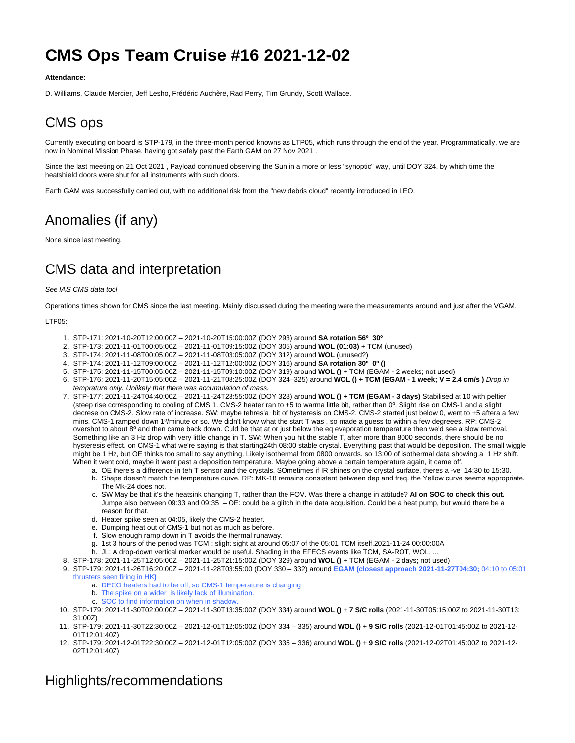# **CMS Ops Team Cruise #16 2021-12-02**

#### **Attendance:**

D. Williams, Claude Mercier, Jeff Lesho, Frédéric Auchère, Rad Perry, Tim Grundy, Scott Wallace.

## CMS ops

Currently executing on board is STP-179, in the three-month period knowns as LTP05, which runs through the end of the year. Programmatically, we are now in Nominal Mission Phase, having got safely past the Earth GAM on 27 Nov 2021 .

Since the last meeting on 21 Oct 2021 , Payload continued observing the Sun in a more or less "synoptic" way, until DOY 324, by which time the heatshield doors were shut for all instruments with such doors.

Earth GAM was successfully carried out, with no additional risk from the "new debris cloud" recently introduced in LEO.

## Anomalies (if any)

None since last meeting.

## CMS data and interpretation

#### See IAS CMS data tool

Operations times shown for CMS since the last meeting. Mainly discussed during the meeting were the measurements around and just after the VGAM.

#### LTP05:

- 1. STP-171: 2021-10-20T12:00:00Z 2021-10-20T15:00:00Z (DOY 293) around **SA rotation 56º 30º**
- 2. STP-173: 2021-11-01T00:05:00Z 2021-11-01T09:15:00Z (DOY 305) around **WOL (01:03)** + TCM (unused)
- 3. STP-174: 2021-11-08T00:05:00Z 2021-11-08T03:05:00Z (DOY 312) around **WOL** (unused?)
- 4. STP-174: 2021-11-12T09:00:00Z 2021-11-12T12:00:00Z (DOY 316) around **SA rotation 30º 0º ()**
- 5. STP-175: 2021-11-15T00:05:00Z 2021-11-15T09:10:00Z (DOY 319) around **WOL ()** + TCM (EGAM 2 weeks; not used)
- 6. STP-176: 2021-11-20T15:05:00Z 2021-11-21T08:25:00Z (DOY 324–325) around **WOL () + TCM (EGAM 1 week; V = 2.4 cm/s )** Drop in temprature only. Unlikely that there was accumulation of mass.
- 7. STP-177: 2021-11-24T04:40:00Z 2021-11-24T23:55:00Z (DOY 328) around **WOL () + TCM (EGAM 3 days)** Stabilised at 10 with peltier (steep rise corresponding to cooling of CMS 1. CMS-2 heater ran to +5 to warma little bit, rather than 0º. Slight rise on CMS-1 and a slight decrese on CMS-2. Slow rate of increase. SW: maybe tehres'a bit of hysteresis on CMS-2. CMS-2 started just below 0, went to +5 aftera a few mins. CMS-1 ramped down 1º/minute or so. We didn't know what the start T was , so made a guess to within a few degreees. RP: CMS-2 overshot to about 8º and then came back down. Culd be that at or just below the eq evaporation temperature then we'd see a slow removal. Something like an 3 Hz drop with very little change in T. SW: When you hit the stable T, after more than 8000 seconds, there should be no hysteresis effect. on CMS-1 what we're saying is that starting24th 08:00 stable crystal. Everything past that would be deposition. The small wiggle might be 1 Hz, but OE thinks too small to say anything. Likely isothermal from 0800 onwards. so 13:00 of isothermal data showing a 1 Hz shift. When it went cold, maybe it went past a deposition temperature. Maybe going above a certain temperature again, it came off.
	- a. OE there's a difference in teh T sensor and the crystals. SOmetimes if IR shines on the crystal surface, theres a -ve 14:30 to 15:30. b. Shape doesn't match the temperature curve. RP: MK-18 remains consistent between dep and freq. the Yellow curve seems appropriate. The Mk-24 does not.
	- c. SW May be that it's the heatsink changing T, rather than the FOV. Was there a change in attitude? **AI on SOC to check this out.** Jumpe also between 09:33 and 09:35 – OE: could be a glitch in the data acquisition. Could be a heat pump, but would there be a reason for that.
	- d. Heater spike seen at 04:05, likely the CMS-2 heater.
	- e. Dumping heat out of CMS-1 but not as much as before.
	- f. Slow enough ramp down in T avoids the thermal runaway.
	- g. 1st 3 hours of the period was TCM : slight sight at around 05:07 of the 05:01 TCM itself.2021-11-24 00:00:00A
	- h. JL: A drop-down vertical marker would be useful. Shading in the EFECS events like TCM, SA-ROT, WOL, ...
- 8. STP-178: 2021-11-25T12:05:00Z 2021-11-25T21:15:00Z (DOY 329) around **WOL ()** + TCM (EGAM 2 days; not used)
- 9. STP-179: 2021-11-26T16:20:00Z 2021-11-28T03:55:00 (DOY 330 332) around **EGAM (closest approach 2021-11-27T04:30;** 04:10 to 05:01 thrusters seen firing in HK**)**
	- a. DECO heaters had to be off, so CMS-1 temperature is changing
	- b. The spike on a wider is likely lack of illumination.
	- c. SOC to find information on when in shadow.
- 10. STP-179: 2021-11-30T02:00:00Z 2021-11-30T13:35:00Z (DOY 334) around **WOL ()** + **7 S/C rolls** (2021-11-30T05:15:00Z to 2021-11-30T13: 31:00Z)
- 11. STP-179: 2021-11-30T22:30:00Z 2021-12-01T12:05:00Z (DOY 334 335) around **WOL ()** + **9 S/C rolls** (2021-12-01T01:45:00Z to 2021-12- 01T12:01:40Z)
- 12. STP-179: 2021-12-01T22:30:00Z 2021-12-01T12:05:00Z (DOY 335 336) around **WOL ()** + **9 S/C rolls** (2021-12-02T01:45:00Z to 2021-12- 02T12:01:40Z)

### Highlights/recommendations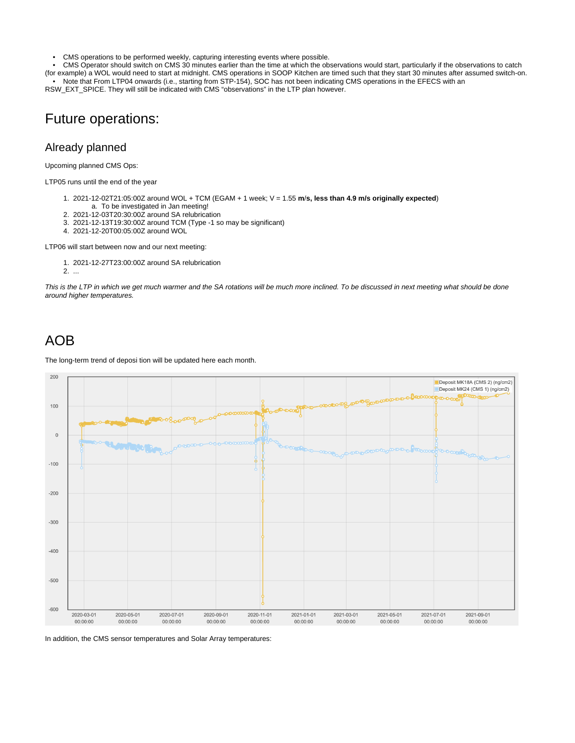• CMS operations to be performed weekly, capturing interesting events where possible.<br>• CMS Operator should switch on CMS 30 minutes earlier than the time at which the ob

• CMS Operator should switch on CMS 30 minutes earlier than the time at which the observations would start, particularly if the observations to catch

(for example) a WOL would need to start at midnight. CMS operations in SOOP Kitchen are timed such that they start 30 minutes after assumed switch-on. • Note that From LTP04 onwards (i.e., starting from STP-154), SOC has not been indicating CMS operations in the EFECS with an RSW\_EXT\_SPICE. They will still be indicated with CMS "observations" in the LTP plan however.

### Future operations:

#### Already planned

Upcoming planned CMS Ops:

LTP05 runs until the end of the year

- 1. 2021-12-02T21:05:00Z around WOL + TCM (EGAM + 1 week; V = 1.55 **m**/**s, less than 4.9 m/s originally expected**)
- a. To be investigated in Jan meeting!
- 2. 2021-12-03T20:30:00Z around SA relubrication
- 3. 2021-12-13T19:30:00Z around TCM (Type -1 so may be significant)
- 4. 2021-12-20T00:05:00Z around WOL

LTP06 will start between now and our next meeting:

- 1. 2021-12-27T23:00:00Z around SA relubrication
- 2. ...

This is the LTP in which we get much warmer and the SA rotations will be much more inclined. To be discussed in next meeting what should be done around higher temperatures.

### AOB

The long-term trend of deposi tion will be updated here each month.



In addition, the CMS sensor temperatures and Solar Array temperatures: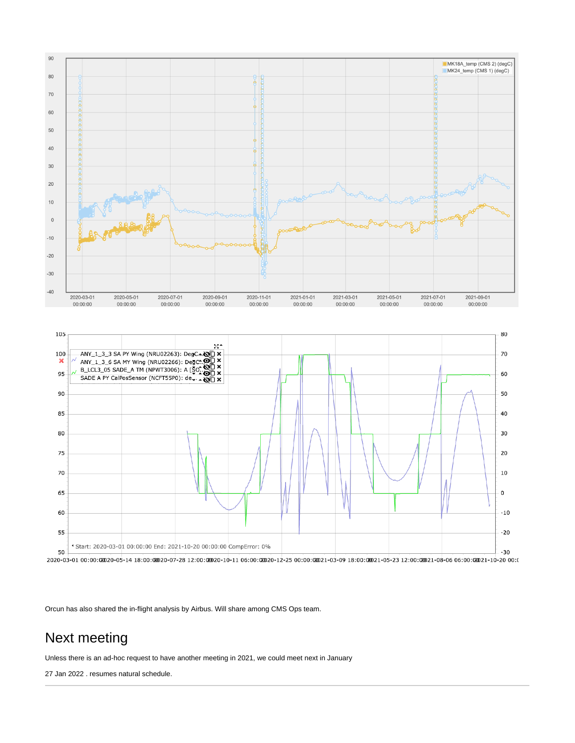

Orcun has also shared the in-flight analysis by Airbus. Will share among CMS Ops team.

## Next meeting

Unless there is an ad-hoc request to have another meeting in 2021, we could meet next in January

27 Jan 2022 . resumes natural schedule.